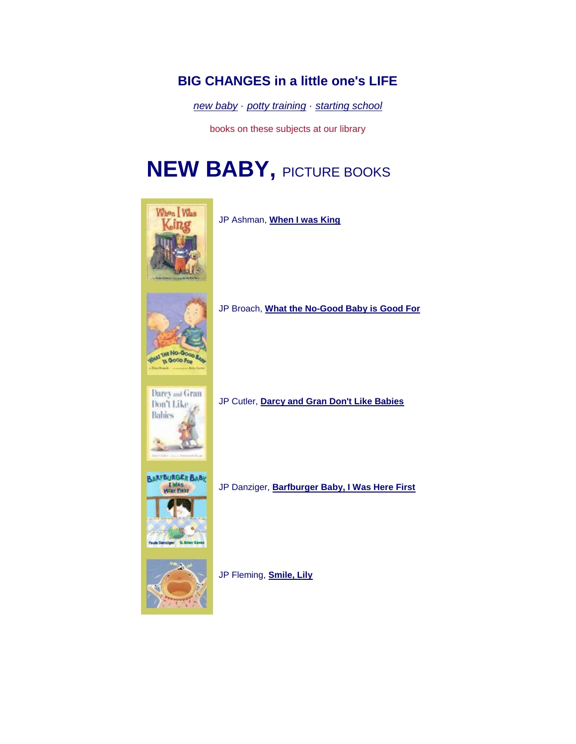#### **BIG CHANGES in a little one's LIFE**

*[new baby](https://www.briarcliffmanorlibrary.org/blbigchanges.html#newbabypicturebooks) · [potty training](https://www.briarcliffmanorlibrary.org/blbigchanges.html#pottytraining) · [starting school](https://www.briarcliffmanorlibrary.org/blbigchanges.html#startingschool)*

books on these subjects at our library

## **NEW BABY,** PICTURE BOOKS



JP Ashman, **[When I was King](https://www.easywls.org/uhtbin/cgisirsi/x/x/0/57/5/?searchdata1=when+king+ashman+not+disney&srchfield1=%5eTITLE%5e&library=ALL&user_id=webserver&password=)**



JP Broach, **[What the No-Good Baby is Good For](https://www.easywls.org/uhtbin/cgisirsi/x/x/0/57/5/?searchdata1=what+baby+good+broach&srchfield1=%5eTITLE%5e&library=ALL&user_id=webserver&password=)**



JP Cutler, **[Darcy and Gran Don't Like Babies](https://www.easywls.org/uhtbin/cgisirsi/x/x/0/57/5/?searchdata1=darcy+gran+babies+jane+not+owen+not+dvd+not+video+cutler&srchfield1=%5eTITLE%5e&library=ALL&user_id=webserver&password=)**



JP Danziger, **[Barfburger Baby, I Was Here First](https://www.easywls.org/uhtbin/cgisirsi/x/x/0/57/5/?searchdata1=barfburger+baby+danziger&srchfield1=%5eTITLE%5e&library=ALL&user_id=webserver&password=)**



JP Fleming, **[Smile, Lily](https://www.easywls.org/uhtbin/cgisirsi/x/x/0/57/5/?searchdata1=smile+lily+fleming&srchfield1=%5eTITLE%5e&library=ALL&user_id=webserver&password=)**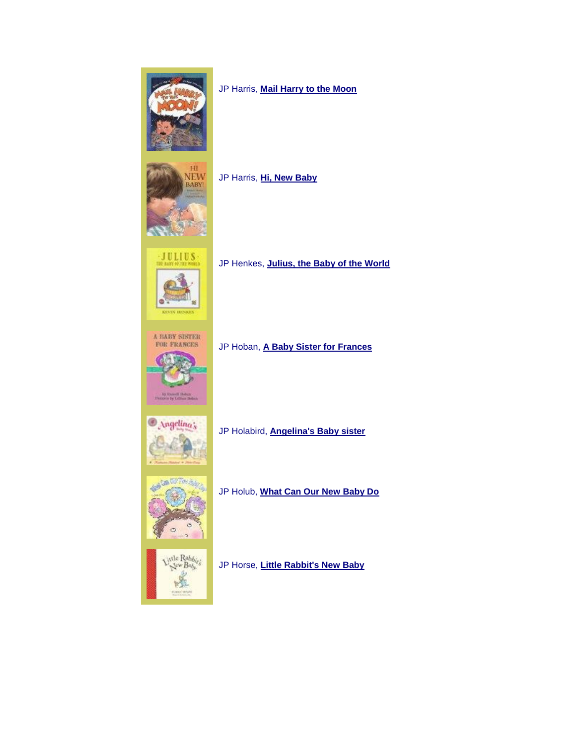

#### JP Harris, **[Mail Harry to the Moon](https://www.easywls.org/uhtbin/cgisirsi/x/x/0/57/5/?searchdata1=mail+harry+moon+harris&srchfield1=%5eTITLE%5e&library=ALL&user_id=webserver&password=)**



#### JP Harris, **[Hi, New Baby](https://www.easywls.org/uhtbin/cgisirsi/x/x/0/57/5/?searchdata1=hi+baby+harris&srchfield1=%5eTITLE%5e&library=ALL&user_id=webserver&password=)**



#### JP Henkes, **[Julius, the Baby of the World](https://www.easywls.org/uhtbin/cgisirsi/x/x/0/57/5/?searchdata1=julius+baby+henkes&srchfield1=%5eTITLE%5e&library=ALL&user_id=webserver&password=)**

A BABY SISTER<br>FOR FRANCES

JP Hoban, **[A Baby Sister for Frances](https://www.easywls.org/uhtbin/cgisirsi/x/x/0/57/5/?searchdata1=baby+sister+hoban&srchfield1=%5eTITLE%5e&library=ALL&user_id=webserver&password=)**



by framell Bobun

JP Holabird, **[Angelina's Baby sister](https://www.easywls.org/uhtbin/cgisirsi/x/x/0/57/5/?searchdata1=angelina%27s+baby+sister+not+silly+not+dvd+not+video+not+performance+holabird&srchfield1=%5eTITLE%5e&library=ALL&user_id=webserver&password=)**



JP Holub, **[What Can Our New Baby Do](https://www.easywls.org/uhtbin/cgisirsi/x/x/0/57/5/?searchdata1=what+baby+do+holub&srchfield1=%5eTITLE%5e&library=ALL&user_id=webserver&password=)**



JP Horse, **[Little Rabbit's New Baby](https://www.easywls.org/uhtbin/cgisirsi/x/x/0/57/5/?searchdata1=little+new+baby+horse+not+disney+not+sing&srchfield1=%5eTITLE%5e&library=ALL&user_id=webserver&password=)**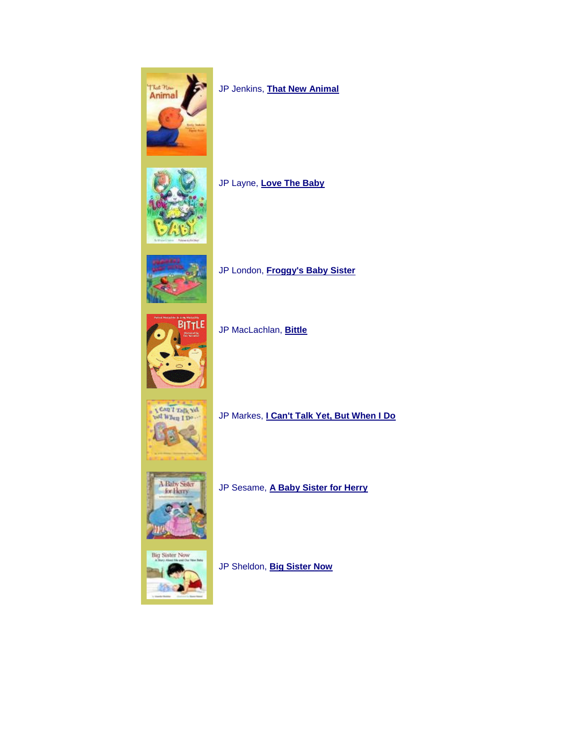

JP Jenkins, **[That New Animal](https://www.easywls.org/uhtbin/cgisirsi/x/x/0/57/5/?searchdata1=that+new+animal++jenkins+not+doughnut&srchfield1=%5eTITLE%5e&library=ALL&user_id=webserver&password=)**



JP Layne, **[Love The Baby](https://www.easywls.org/uhtbin/cgisirsi/x/x/0/57/5/?searchdata1=love+the+layne&srchfield1=%5eTITLE%5e&library=ALL&user_id=webserver&password=)**



JP London, **[Froggy's Baby Sister](https://www.easywls.org/uhtbin/cgisirsi/x/x/0/57/5/?searchdata1=froggy%27s+baby+london&srchfield1=%5eTITLE%5e&library=ALL&user_id=webserver&password=)**



JP MacLachlan, **[Bittle](https://www.easywls.org/uhtbin/cgisirsi/x/x/0/57/5/?searchdata1=bittle+maclachlan&srchfield1=%5eTITLE%5e&library=ALL&user_id=webserver&password=)**



#### JP Markes, **[I Can't Talk Yet, But When I Do](https://www.easywls.org/uhtbin/cgisirsi/x/x/0/57/5/?searchdata1=talk+yet+markes&srchfield1=%5eTITLE%5e&library=ALL&user_id=webserver&password=)**



JP Sesame, **[A Baby Sister for Herry](https://www.easywls.org/uhtbin/cgisirsi/x/x/0/57/5/?searchdata1=sister+herry+kingsley&srchfield1=%5eTITLE%5e&library=ALL&user_id=webserver&password=)**



JP Sheldon, **[Big Sister Now](https://www.easywls.org/uhtbin/cgisirsi/x/x/0/57/5/?searchdata1=big+sister+sheldon+not+dvd&srchfield1=%5eTITLE%5e&library=ALL&user_id=webserver&password=)**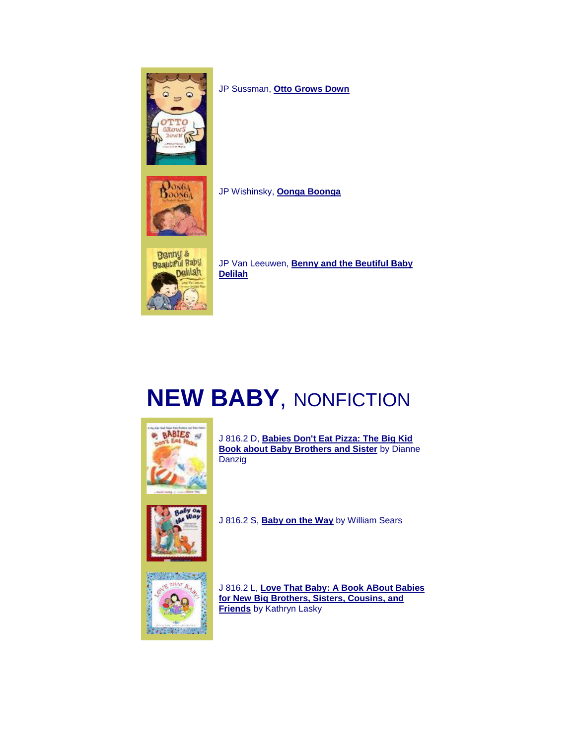

JP Sussman, **[Otto Grows Down](https://www.easywls.org/uhtbin/cgisirsi/x/x/0/57/5/?searchdata1=otto+grows+sussman&srchfield1=%5eTITLE%5e&library=ALL&user_id=webserver&password=)**



JP Wishinsky, **[Oonga Boonga](https://www.easywls.org/uhtbin/cgisirsi/x/x/0/57/5/?searchdata1=oonga+boonga+wishinsky&srchfield1=%5eTITLE%5e&library=ALL&user_id=webserver&password=)**



JP Van Leeuwen, **[Benny and the Beutiful Baby](https://www.easywls.org/uhtbin/cgisirsi/x/x/0/57/5/?searchdata1=benny+delilah+leeuwen&srchfield1=%5eTITLE%5e&library=ALL&user_id=webserver&password=)  [Delilah](https://www.easywls.org/uhtbin/cgisirsi/x/x/0/57/5/?searchdata1=benny+delilah+leeuwen&srchfield1=%5eTITLE%5e&library=ALL&user_id=webserver&password=)**

# **NEW BABY**, NONFICTION



J 816.2 D, **[Babies Don't Eat Pizza: The Big Kid](https://www.easywls.org/uhtbin/cgisirsi/x/x/0/57/5/?searchdata1=babies+pizza+danzig&srchfield1=%5eTITLE%5e&library=ALL&user_id=webserver&password=)  [Book about Baby Brothers and Sister](https://www.easywls.org/uhtbin/cgisirsi/x/x/0/57/5/?searchdata1=babies+pizza+danzig&srchfield1=%5eTITLE%5e&library=ALL&user_id=webserver&password=)** by Dianne Danzig



J 816.2 S, **[Baby on the Way](https://www.easywls.org/uhtbin/cgisirsi/x/x/0/57/5/?searchdata1=baby+way+sears+not+disney&srchfield1=%5eTITLE%5e&library=ALL&user_id=webserver&password=)** by William Sears



J 816.2 L, **[Love That Baby: A Book ABout Babies](https://www.easywls.org/uhtbin/cgisirsi/x/x/0/57/5/?searchdata1=love+cousins+lasky&srchfield1=%5eTITLE%5e&library=ALL&user_id=webserver&password=)  [for New Big Brothers, Sisters, Cousins, and](https://www.easywls.org/uhtbin/cgisirsi/x/x/0/57/5/?searchdata1=love+cousins+lasky&srchfield1=%5eTITLE%5e&library=ALL&user_id=webserver&password=)  [Friends](https://www.easywls.org/uhtbin/cgisirsi/x/x/0/57/5/?searchdata1=love+cousins+lasky&srchfield1=%5eTITLE%5e&library=ALL&user_id=webserver&password=)** by Kathryn Lasky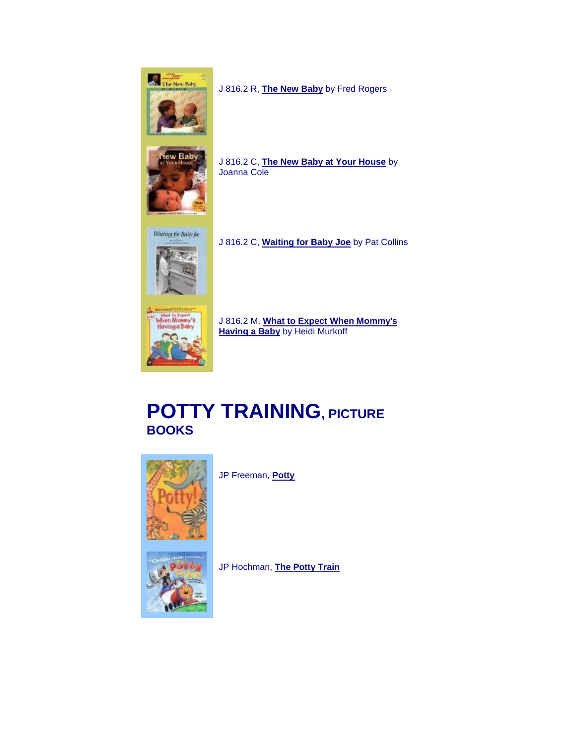

J 816.2 R, **[The New Baby](https://www.easywls.org/uhtbin/cgisirsi/x/x/0/57/5/?searchdata1=new+baby+fred+rogers+not+cerf&srchfield1=%5eTITLE%5e&library=ALL&user_id=webserver&password=)** by Fred Rogers



J 816.2 C, **[The New Baby at Your House](https://www.easywls.org/uhtbin/cgisirsi/x/x/0/57/5/?searchdata1=new+baby+house+cole+not+cd&srchfield1=%5eTITLE%5e&library=ALL&user_id=webserver&password=)** by Joanna Cole



J 816.2 C, **[Waiting for Baby Joe](https://www.easywls.org/uhtbin/cgisirsi/x/x/0/57/5/?searchdata1=waiting+baby+joe+collins&srchfield1=%5eTITLE%5e&library=ALL&user_id=webserver&password=)** by Pat Collins



When Money's<br>When Money's<br>Having a Baby

J 816.2 M, **[What to Expect When Mommy's](https://www.easywls.org/uhtbin/cgisirsi/x/x/0/57/5/?searchdata1=what+expect+mommy%27s+having+baby+murkoff&srchfield1=%5eTITLE%5e&library=ALL&user_id=webserver&password=)  [Having a Baby](https://www.easywls.org/uhtbin/cgisirsi/x/x/0/57/5/?searchdata1=what+expect+mommy%27s+having+baby+murkoff&srchfield1=%5eTITLE%5e&library=ALL&user_id=webserver&password=)** by Heidi Murkoff

### **POTTY TRAINING, PICTURE BOOKS**



JP Freeman, **[Potty](https://www.easywls.org/uhtbin/cgisirsi/x/x/0/57/5/?searchdata1=potty+freeman&srchfield1=%5eTITLE%5e&library=ALL&user_id=webserver&password=)**



JP Hochman, **[The Potty Train](https://www.easywls.org/uhtbin/cgisirsi/x/x/0/57/5/?searchdata1=potty+train+hochman&srchfield1=%5eTITLE%5e&library=ALL&user_id=webserver&password=)**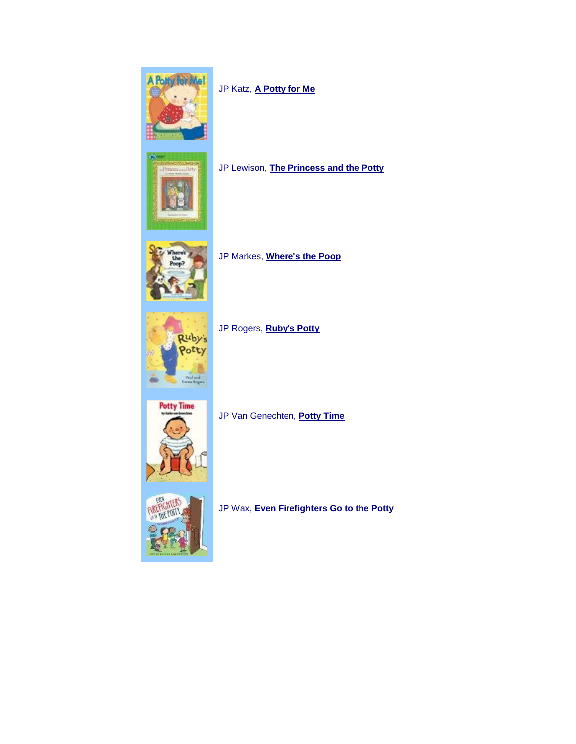

JP Katz, **[A Potty for Me](https://www.easywls.org/uhtbin/cgisirsi/x/x/0/57/5/?searchdata1=potty+me+katz&srchfield1=%5eTITLE%5e&library=ALL&user_id=webserver&password=)**



#### JP Lewison, **[The Princess and the Potty](https://www.easywls.org/uhtbin/cgisirsi/x/x/0/57/5/?searchdata1=princess+potty+lewison&srchfield1=%5eTITLE%5e&library=ALL&user_id=webserver&password=)**



JP Markes, **[Where's the Poop](https://www.easywls.org/uhtbin/cgisirsi/x/x/0/57/5/?searchdata1=where%27s+poop+markes&srchfield1=%5eTITLE%5e&library=ALL&user_id=webserver&password=)**



JP Rogers, **[Ruby's Potty](https://www.easywls.org/uhtbin/cgisirsi/x/x/0/57/5/?searchdata1=ruby%27s+potty+rogers&srchfield1=%5eTITLE%5e&library=ALL&user_id=webserver&password=)**



JP Van Genechten, **[Potty Time](https://www.easywls.org/uhtbin/cgisirsi/x/x/0/57/5/?searchdata1=potty+time+genechten&srchfield1=%5eTITLE%5e&library=ALL&user_id=webserver&password=)**



JP Wax, **[Even Firefighters Go to the Potty](https://www.easywls.org/uhtbin/cgisirsi/x/x/0/57/5/?searchdata1=even+firefighters+potty+wax&srchfield1=%5eTITLE%5e&library=ALL&user_id=webserver&password=)**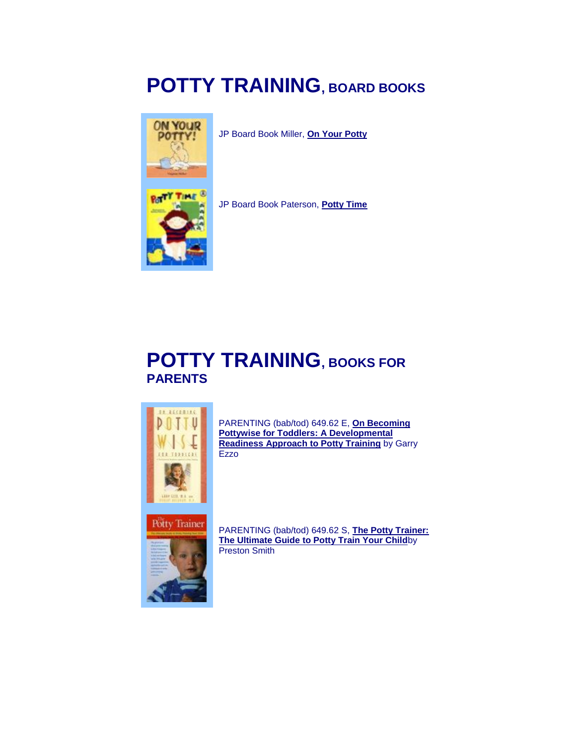## **POTTY TRAINING, BOARD BOOKS**



JP Board Book Miller, **[On Your Potty](https://www.easywls.org/uhtbin/cgisirsi/x/x/0/57/5/?searchdata1=on+potty+miller+not+cole&srchfield1=%5eTITLE%5e&library=ALL&user_id=webserver&password=)**



JP Board Book Paterson, **[Potty Time](https://www.easywls.org/uhtbin/cgisirsi/x/x/0/57/5/?searchdata1=potty+time+paterson&srchfield1=%5eTITLE%5e&library=ALL&user_id=webserver&password=)**

### **POTTY TRAINING, BOOKS FOR PARENTS**



PARENTING (bab/tod) 649.62 E, **[On Becoming](https://www.easywls.org/uhtbin/cgisirsi/x/x/0/57/5/?searchdata1=pottywise+toddlers+readiness+ezzo&srchfield1=%5eTITLE%5e&library=ALL&user_id=webserver&password=)  [Pottywise for Toddlers: A Developmental](https://www.easywls.org/uhtbin/cgisirsi/x/x/0/57/5/?searchdata1=pottywise+toddlers+readiness+ezzo&srchfield1=%5eTITLE%5e&library=ALL&user_id=webserver&password=)  [Readiness Approach to Potty Training](https://www.easywls.org/uhtbin/cgisirsi/x/x/0/57/5/?searchdata1=pottywise+toddlers+readiness+ezzo&srchfield1=%5eTITLE%5e&library=ALL&user_id=webserver&password=)** by Garry Ezzo



PARENTING (bab/tod) 649.62 S, **[The Potty Trainer:](https://www.easywls.org/uhtbin/cgisirsi/x/x/0/57/5/?searchdata1=potty+trainer+ultimate+preston+smith&srchfield1=%5eTITLE%5e&library=ALL&user_id=webserver&password=)  [The Ultimate Guide to Potty Train Your Child](https://www.easywls.org/uhtbin/cgisirsi/x/x/0/57/5/?searchdata1=potty+trainer+ultimate+preston+smith&srchfield1=%5eTITLE%5e&library=ALL&user_id=webserver&password=)**by Preston Smith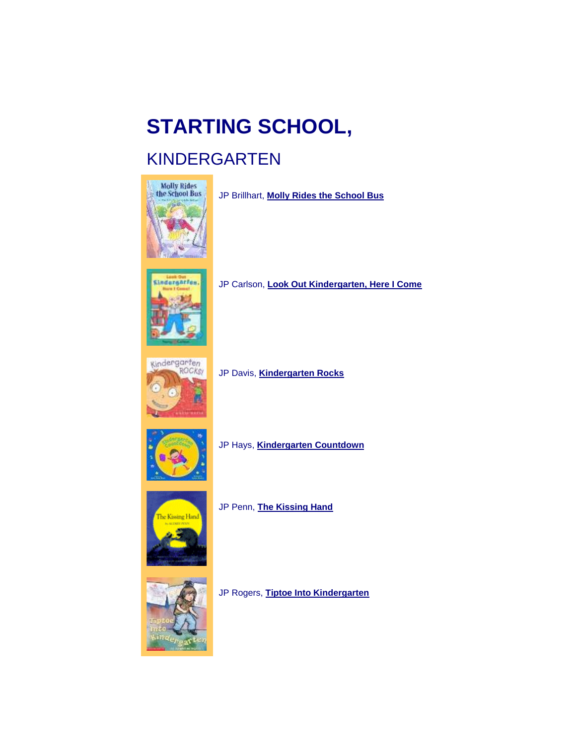## **STARTING SCHOOL,**

### KINDERGARTEN



JP Brillhart, **[Molly Rides the School Bus](https://www.easywls.org/uhtbin/cgisirsi/x/x/0/57/5/?searchdata1=molly+rides+school+brillhart&srchfield1=%5eTITLE%5e&library=ALL&user_id=webserver&password=)**



JP Carlson, **[Look Out Kindergarten, Here I Come](https://www.easywls.org/uhtbin/cgisirsi/x/x/0/57/5/?searchdata1=look+out+kindergarten+carlson&srchfield1=%5eTITLE%5e&library=ALL&user_id=webserver&password=)**



JP Davis, **[Kindergarten Rocks](https://www.easywls.org/uhtbin/cgisirsi/x/x/0/57/5/?searchdata1=kindergarten+rocks+davis&srchfield1=%5eTITLE%5e&library=ALL&user_id=webserver&password=)**



JP Hays, **[Kindergarten Countdown](https://www.easywls.org/uhtbin/cgisirsi/x/x/0/57/5/?searchdata1=kindergarten+countdown+hays&srchfield1=%5eTITLE%5e&library=ALL&user_id=webserver&password=)**



JP Penn, **[The Kissing Hand](https://www.easywls.org/uhtbin/cgisirsi/x/x/0/57/5/?searchdata1=kissing+hand+penn&srchfield1=%5eTITLE%5e&library=ALL&user_id=webserver&password=)**



JP Rogers, **[Tiptoe Into Kindergarten](https://www.easywls.org/uhtbin/cgisirsi/x/x/0/57/5/?searchdata1=tiptoe+into+kindergarten+rogers&srchfield1=%5eTITLE%5e&library=ALL&user_id=webserver&password=)**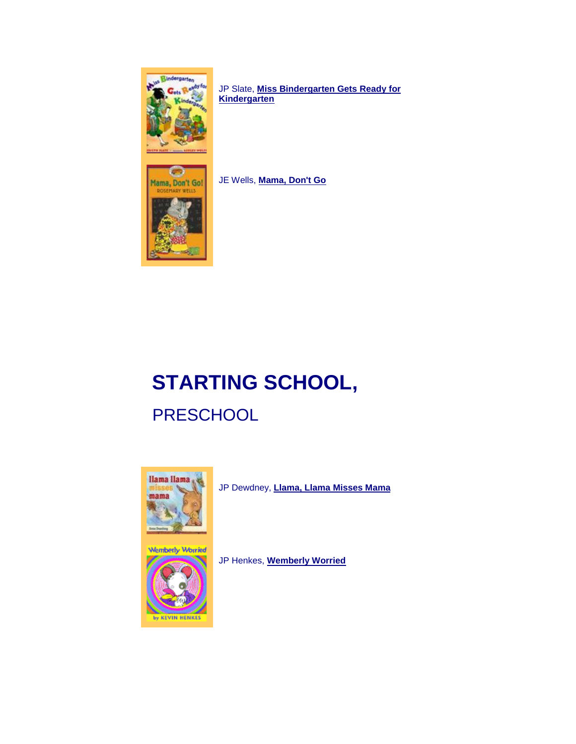

JP Slate, **[Miss Bindergarten Gets Ready for](https://www.easywls.org/uhtbin/cgisirsi/x/x/0/57/5/?searchdata1=miss+bindergarten+ready+slate&srchfield1=%5eTITLE%5e&library=ALL&user_id=webserver&password=)  [Kindergarten](https://www.easywls.org/uhtbin/cgisirsi/x/x/0/57/5/?searchdata1=miss+bindergarten+ready+slate&srchfield1=%5eTITLE%5e&library=ALL&user_id=webserver&password=)**



JE Wells, **[Mama, Don't Go](https://www.easywls.org/uhtbin/cgisirsi/x/x/0/57/5/?searchdata1=mama+don%27t+go+rosemary+wells&srchfield1=%5eTITLE%5e&library=ALL&user_id=webserver&password=)**

## **STARTING SCHOOL,**

### **PRESCHOOL**





JP Dewdney, **[Llama, Llama Misses Mama](https://www.easywls.org/uhtbin/cgisirsi/x/x/0/57/5/?searchdata1=llama+misses+mama+dewdney&srchfield1=%5eTITLE%5e&library=ALL&user_id=webserver&password=)**

JP Henkes, **[Wemberly Worried](https://www.easywls.org/uhtbin/cgisirsi/x/x/0/57/5/?searchdata1=wemberly+worried+henkes&srchfield1=%5eTITLE%5e&library=ALL&user_id=webserver&password=)**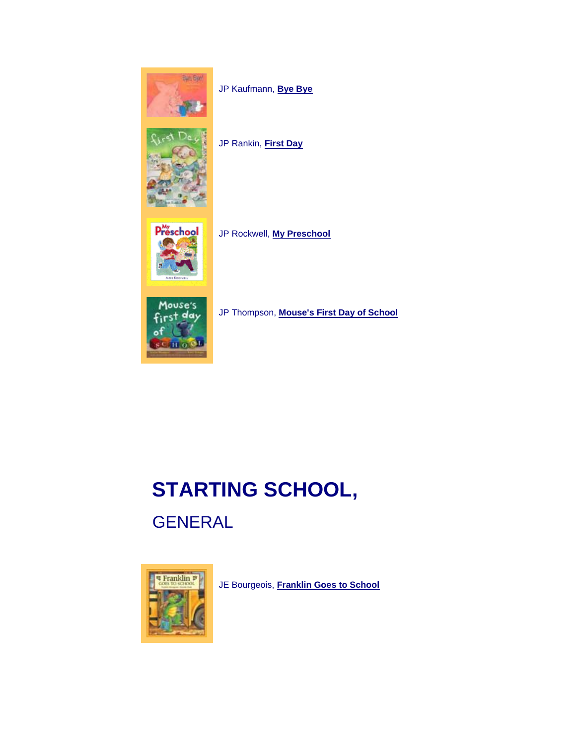

JP Kaufmann, **[Bye Bye](https://www.easywls.org/uhtbin/cgisirsi/x/x/0/57/5/?searchdata1=bye+bye+kaufmann&srchfield1=%5eTITLE%5e&library=ALL&user_id=webserver&password=)**

JP Rankin, **[First Day](https://www.easywls.org/uhtbin/cgisirsi/x/x/0/57/5/?searchdata1=first+day+rankin+not+handbook&srchfield1=%5eTITLE%5e&library=ALL&user_id=webserver&password=)**



 $5$ Cem o O

of

JP Rockwell, **[My Preschool](https://www.easywls.org/uhtbin/cgisirsi/x/x/0/57/5/?searchdata1=my+preschool+rockwell&srchfield1=%5eTITLE%5e&library=ALL&user_id=webserver&password=)**

Mouse's JP Thompson, **[Mouse's First Day of School](https://www.easywls.org/uhtbin/cgisirsi/x/x/0/57/5/?searchdata1=mouse%27s+first+day+thompson+not+winter&srchfield1=%5eTITLE%5e&library=ALL&user_id=webserver&password=)** first day

# **STARTING SCHOOL,** GENERAL



JE Bourgeois, **[Franklin Goes to School](https://www.easywls.org/uhtbin/cgisirsi/x/x/0/57/5/?searchdata1=franklin+goes+school+bourgeois&srchfield1=%5eTITLE%5e&library=ALL&user_id=webserver&password=)**